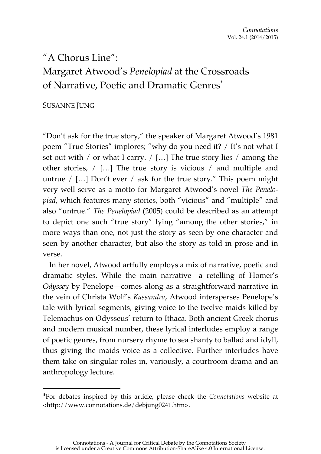# "A Chorus Line": Margaret Atwood's *Penelopiad* at the Crossroads of Narrative, Poetic and Dramatic Genres<sup>\*</sup>

# SUSANNE JUNG

 $\overline{a}$ 

"Don't ask for the true story," the speaker of Margaret Atwood's 1981 poem "True Stories" implores; "why do you need it? / It's not what I set out with / or what I carry. / […] The true story lies / among the other stories, / […] The true story is vicious / and multiple and untrue / […] Don't ever / ask for the true story." This poem might very well serve as a motto for Margaret Atwood's novel *The Penelopiad*, which features many stories, both "vicious" and "multiple" and also "untrue." *The Penelopiad* (2005) could be described as an attempt to depict one such "true story" lying "among the other stories," in more ways than one, not just the story as seen by one character and seen by another character, but also the story as told in prose and in verse.

In her novel, Atwood artfully employs a mix of narrative, poetic and dramatic styles. While the main narrative—a retelling of Homer's *Odyssey* by Penelope—comes along as a straightforward narrative in the vein of Christa Wolf's *Kassandra*, Atwood intersperses Penelope's tale with lyrical segments, giving voice to the twelve maids killed by Telemachus on Odysseus' return to Ithaca. Both ancient Greek chorus and modern musical number, these lyrical interludes employ a range of poetic genres, from nursery rhyme to sea shanty to ballad and idyll, thus giving the maids voice as a collective. Further interludes have them take on singular roles in, variously, a courtroom drama and an anthropology lecture.

<sup>\*</sup>For debates inspired by this article, please check the *Connotations* website at <http://www.connotations.de/debjung0241.htm>.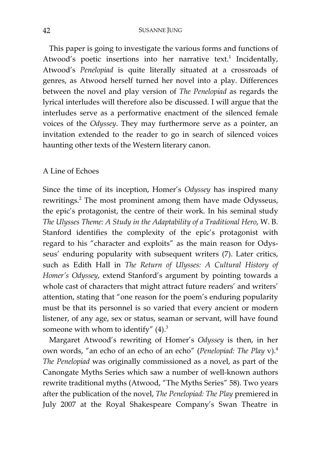This paper is going to investigate the various forms and functions of Atwood's poetic insertions into her narrative text.<sup>1</sup> Incidentally, Atwood's *Penelopiad* is quite literally situated at a crossroads of genres, as Atwood herself turned her novel into a play. Differences between the novel and play version of *The Penelopiad* as regards the lyrical interludes will therefore also be discussed. I will argue that the interludes serve as a performative enactment of the silenced female voices of the *Odyssey*. They may furthermore serve as a pointer, an invitation extended to the reader to go in search of silenced voices haunting other texts of the Western literary canon.

## A Line of Echoes

Since the time of its inception, Homer's *Odyssey* has inspired many rewritings.<sup>2</sup> The most prominent among them have made Odysseus, the epic's protagonist, the centre of their work. In his seminal study *The Ulysses Theme: A Study in the Adaptability of a Traditional Hero*, W. B. Stanford identifies the complexity of the epic's protagonist with regard to his "character and exploits" as the main reason for Odysseus' enduring popularity with subsequent writers (7). Later critics, such as Edith Hall in *The Return of Ulysses: A Cultural History of Homer's Odyssey*, extend Stanford's argument by pointing towards a whole cast of characters that might attract future readers' and writers' attention, stating that "one reason for the poem's enduring popularity must be that its personnel is so varied that every ancient or modern listener, of any age, sex or status, seaman or servant, will have found someone with whom to identify"  $(4).$ <sup>3</sup>

Margaret Atwood's rewriting of Homer's *Odyssey* is then, in her own words, "an echo of an echo of an echo" (*Penelopiad: The Play* v).4 *The Penelopiad* was originally commissioned as a novel, as part of the Canongate Myths Series which saw a number of well-known authors rewrite traditional myths (Atwood, "The Myths Series" 58). Two years after the publication of the novel, *The Penelopiad: The Play* premiered in July 2007 at the Royal Shakespeare Company's Swan Theatre in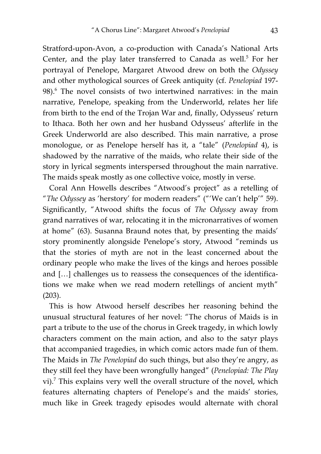Stratford-upon-Avon, a co-production with Canada's National Arts Center, and the play later transferred to Canada as well.<sup>5</sup> For her portrayal of Penelope, Margaret Atwood drew on both the *Odyssey* and other mythological sources of Greek antiquity (cf. *Penelopiad* 197- 98).<sup>6</sup> The novel consists of two intertwined narratives: in the main narrative, Penelope, speaking from the Underworld, relates her life from birth to the end of the Trojan War and, finally, Odysseus' return to Ithaca. Both her own and her husband Odysseus' afterlife in the Greek Underworld are also described. This main narrative, a prose monologue, or as Penelope herself has it, a "tale" (*Penelopiad* 4), is shadowed by the narrative of the maids, who relate their side of the story in lyrical segments interspersed throughout the main narrative. The maids speak mostly as one collective voice, mostly in verse.

Coral Ann Howells describes "Atwood's project" as a retelling of "*The Odyssey* as 'herstory' for modern readers" ("'We can't help'" 59). Significantly, "Atwood shifts the focus of *The Odyssey* away from grand narratives of war, relocating it in the micronarratives of women at home" (63). Susanna Braund notes that, by presenting the maids' story prominently alongside Penelope's story, Atwood "reminds us that the stories of myth are not in the least concerned about the ordinary people who make the lives of the kings and heroes possible and […] challenges us to reassess the consequences of the identifications we make when we read modern retellings of ancient myth" (203).

This is how Atwood herself describes her reasoning behind the unusual structural features of her novel: "The chorus of Maids is in part a tribute to the use of the chorus in Greek tragedy, in which lowly characters comment on the main action, and also to the satyr plays that accompanied tragedies, in which comic actors made fun of them. The Maids in *The Penelopiad* do such things, but also they're angry, as they still feel they have been wrongfully hanged" (*Penelopiad: The Play*  $vi$ ).<sup>7</sup> This explains very well the overall structure of the novel, which features alternating chapters of Penelope's and the maids' stories, much like in Greek tragedy episodes would alternate with choral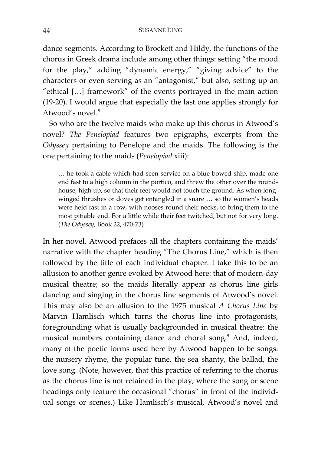dance segments. According to Brockett and Hildy, the functions of the chorus in Greek drama include among other things: setting "the mood for the play," adding "dynamic energy," "giving advice" to the characters or even serving as an "antagonist," but also, setting up an "ethical […] framework" of the events portrayed in the main action (19-20). I would argue that especially the last one applies strongly for Atwood's novel.<sup>8</sup>

So who are the twelve maids who make up this chorus in Atwood's novel? *The Penelopiad* features two epigraphs, excerpts from the *Odyssey* pertaining to Penelope and the maids. The following is the one pertaining to the maids (*Penelopiad* xiii):

… he took a cable which had seen service on a blue-bowed ship, made one end fast to a high column in the portico, and threw the other over the roundhouse, high up, so that their feet would not touch the ground. As when longwinged thrushes or doves get entangled in a snare … so the women's heads were held fast in a row, with nooses round their necks, to bring them to the most pitiable end. For a little while their feet twitched, but not for very long. (*The Odyssey*, Book 22, 470-73)

In her novel, Atwood prefaces all the chapters containing the maids' narrative with the chapter heading "The Chorus Line," which is then followed by the title of each individual chapter. I take this to be an allusion to another genre evoked by Atwood here: that of modern-day musical theatre; so the maids literally appear as chorus line girls dancing and singing in the chorus line segments of Atwood's novel. This may also be an allusion to the 1975 musical *A Chorus Line* by Marvin Hamlisch which turns the chorus line into protagonists, foregrounding what is usually backgrounded in musical theatre: the musical numbers containing dance and choral song.<sup>9</sup> And, indeed, many of the poetic forms used here by Atwood happen to be songs: the nursery rhyme, the popular tune, the sea shanty, the ballad, the love song. (Note, however, that this practice of referring to the chorus as the chorus line is not retained in the play, where the song or scene headings only feature the occasional "chorus" in front of the individual songs or scenes.) Like Hamlisch's musical, Atwood's novel and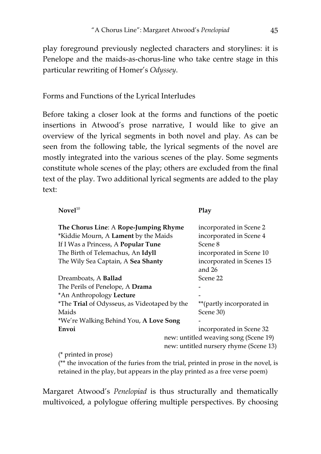play foreground previously neglected characters and storylines: it is Penelope and the maids-as-chorus-line who take centre stage in this particular rewriting of Homer's *Odyssey*.

Forms and Functions of the Lyrical Interludes

Before taking a closer look at the forms and functions of the poetic insertions in Atwood's prose narrative, I would like to give an overview of the lyrical segments in both novel and play. As can be seen from the following table, the lyrical segments of the novel are mostly integrated into the various scenes of the play. Some segments constitute whole scenes of the play; others are excluded from the final text of the play. Two additional lyrical segments are added to the play text:

| $\bf Novel^{10}$                                    |  | Play                      |
|-----------------------------------------------------|--|---------------------------|
| The Chorus Line: A Rope-Jumping Rhyme               |  | incorporated in Scene 2   |
| *Kiddie Mourn, A Lament by the Maids                |  | incorporated in Scene 4   |
| If I Was a Princess, A Popular Tune                 |  | Scene 8                   |
| The Birth of Telemachus, An Idyll                   |  | incorporated in Scene 10  |
| The Wily Sea Captain, A Sea Shanty                  |  | incorporated in Scenes 15 |
|                                                     |  | and $26$                  |
| Dreamboats, A <b>Ballad</b>                         |  | Scene 22                  |
| The Perils of Penelope, A Drama                     |  |                           |
| *An Anthropology Lecture                            |  |                           |
| <i>*The Trial of Odysseus, as Videotaped by the</i> |  | **(partly incorporated in |
| Maids                                               |  | Scene 30)                 |
| <i>*We're Walking Behind You, A Love Song</i>       |  |                           |
| Envoi                                               |  | incorporated in Scene 32  |
| new: untitled weaving song (Scene 19)               |  |                           |
| new: untitled nursery rhyme (Scene 13)              |  |                           |
|                                                     |  |                           |

(\* printed in prose)

(\*\* the invocation of the furies from the trial, printed in prose in the novel, is retained in the play, but appears in the play printed as a free verse poem)

Margaret Atwood's *Penelopiad* is thus structurally and thematically multivoiced, a polylogue offering multiple perspectives. By choosing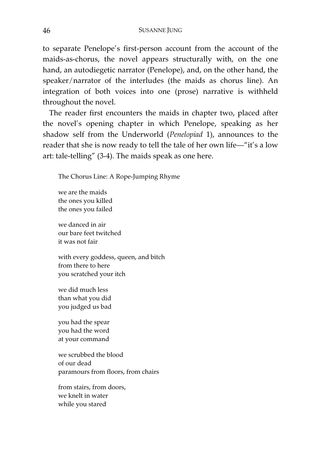to separate Penelope's first-person account from the account of the maids-as-chorus, the novel appears structurally with, on the one hand, an autodiegetic narrator (Penelope), and, on the other hand, the speaker/narrator of the interludes (the maids as chorus line). An integration of both voices into one (prose) narrative is withheld throughout the novel.

The reader first encounters the maids in chapter two, placed after the novel's opening chapter in which Penelope, speaking as her shadow self from the Underworld (*Penelopiad* 1), announces to the reader that she is now ready to tell the tale of her own life—"it's a low art: tale-telling" (3-4). The maids speak as one here.

The Chorus Line: A Rope-Jumping Rhyme

we are the maids the ones you killed the ones you failed

we danced in air our bare feet twitched it was not fair

with every goddess, queen, and bitch from there to here you scratched your itch

we did much less than what you did you judged us bad

you had the spear you had the word at your command

we scrubbed the blood of our dead paramours from floors, from chairs

from stairs, from doors, we knelt in water while you stared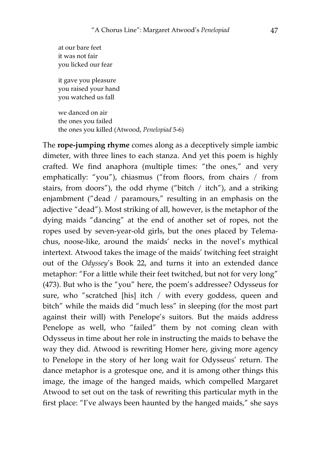at our bare feet it was not fair you licked our fear

it gave you pleasure you raised your hand you watched us fall

we danced on air the ones you failed the ones you killed (Atwood, *Penelopiad* 5-6)

The **rope-jumping rhyme** comes along as a deceptively simple iambic dimeter, with three lines to each stanza. And yet this poem is highly crafted. We find anaphora (multiple times: "the ones," and very emphatically: "you"), chiasmus ("from floors, from chairs / from stairs, from doors"), the odd rhyme ("bitch / itch"), and a striking enjambment ("dead / paramours," resulting in an emphasis on the adjective "dead"). Most striking of all, however, is the metaphor of the dying maids "dancing" at the end of another set of ropes, not the ropes used by seven-year-old girls, but the ones placed by Telemachus, noose-like, around the maids' necks in the novel's mythical intertext. Atwood takes the image of the maids' twitching feet straight out of the *Odyssey*'s Book 22, and turns it into an extended dance metaphor: "For a little while their feet twitched, but not for very long" (473). But who is the "you" here, the poem's addressee? Odysseus for sure, who "scratched [his] itch / with every goddess, queen and bitch" while the maids did "much less" in sleeping (for the most part against their will) with Penelope's suitors. But the maids address Penelope as well, who "failed" them by not coming clean with Odysseus in time about her role in instructing the maids to behave the way they did. Atwood is rewriting Homer here, giving more agency to Penelope in the story of her long wait for Odysseus' return. The dance metaphor is a grotesque one, and it is among other things this image, the image of the hanged maids, which compelled Margaret Atwood to set out on the task of rewriting this particular myth in the first place: "I've always been haunted by the hanged maids," she says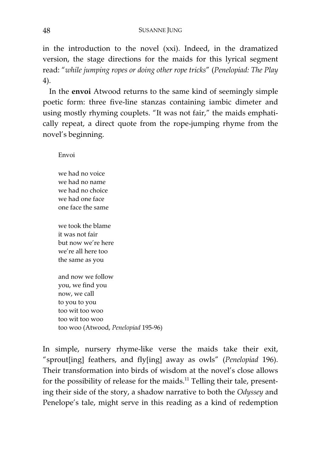in the introduction to the novel (xxi). Indeed, in the dramatized version, the stage directions for the maids for this lyrical segment read: "*while jumping ropes or doing other rope tricks*" (*Penelopiad: The Play* 4).

In the **envoi** Atwood returns to the same kind of seemingly simple poetic form: three five-line stanzas containing iambic dimeter and using mostly rhyming couplets. "It was not fair," the maids emphatically repeat, a direct quote from the rope-jumping rhyme from the novel's beginning.

Envoi

we had no voice we had no name we had no choice we had one face one face the same

we took the blame it was not fair but now we're here we're all here too the same as you

and now we follow you, we find you now, we call to you to you too wit too woo too wit too woo too woo (Atwood, *Penelopiad* 195-96)

In simple, nursery rhyme-like verse the maids take their exit, "sprout[ing] feathers, and fly[ing] away as owls" (*Penelopiad* 196). Their transformation into birds of wisdom at the novel's close allows for the possibility of release for the maids.<sup>11</sup> Telling their tale, presenting their side of the story, a shadow narrative to both the *Odyssey* and Penelope's tale, might serve in this reading as a kind of redemption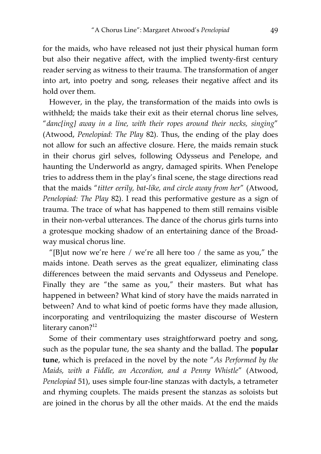for the maids, who have released not just their physical human form but also their negative affect, with the implied twenty-first century reader serving as witness to their trauma. The transformation of anger into art, into poetry and song, releases their negative affect and its hold over them.

However, in the play, the transformation of the maids into owls is withheld; the maids take their exit as their eternal chorus line selves, "*danc[ing] away in a line, with their ropes around their necks, singing*" (Atwood, *Penelopiad: The Play* 82). Thus, the ending of the play does not allow for such an affective closure. Here, the maids remain stuck in their chorus girl selves, following Odysseus and Penelope, and haunting the Underworld as angry, damaged spirits. When Penelope tries to address them in the play's final scene, the stage directions read that the maids "*titter eerily, bat-like, and circle away from her*" (Atwood, *Penelopiad: The Play* 82). I read this performative gesture as a sign of trauma. The trace of what has happened to them still remains visible in their non-verbal utterances. The dance of the chorus girls turns into a grotesque mocking shadow of an entertaining dance of the Broadway musical chorus line.

"[B]ut now we're here / we're all here too / the same as you," the maids intone. Death serves as the great equalizer, eliminating class differences between the maid servants and Odysseus and Penelope. Finally they are "the same as you," their masters. But what has happened in between? What kind of story have the maids narrated in between? And to what kind of poetic forms have they made allusion, incorporating and ventriloquizing the master discourse of Western literary canon?<sup>12</sup>

Some of their commentary uses straightforward poetry and song, such as the popular tune, the sea shanty and the ballad. The **popular tune**, which is prefaced in the novel by the note "*As Performed by the Maids, with a Fiddle, an Accordion, and a Penny Whistle*" (Atwood, *Penelopiad* 51), uses simple four-line stanzas with dactyls, a tetrameter and rhyming couplets. The maids present the stanzas as soloists but are joined in the chorus by all the other maids. At the end the maids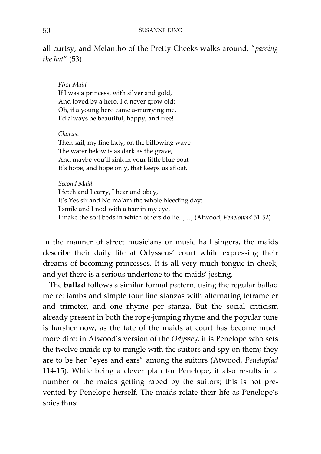all curtsy, and Melantho of the Pretty Cheeks walks around, "*passing the hat*" (53).

*First Maid:*  If I was a princess, with silver and gold, And loved by a hero, I'd never grow old: Oh, if a young hero came a-marrying me, I'd always be beautiful, happy, and free!

## *Chorus*:

Then sail, my fine lady, on the billowing wave— The water below is as dark as the grave, And maybe you'll sink in your little blue boat— It's hope, and hope only, that keeps us afloat.

## *Second Maid:*

I fetch and I carry, I hear and obey, It's Yes sir and No ma'am the whole bleeding day; I smile and I nod with a tear in my eye, I make the soft beds in which others do lie. […] (Atwood, *Penelopiad* 51-52)

In the manner of street musicians or music hall singers, the maids describe their daily life at Odysseus' court while expressing their dreams of becoming princesses. It is all very much tongue in cheek, and yet there is a serious undertone to the maids' jesting.

The **ballad** follows a similar formal pattern, using the regular ballad metre: iambs and simple four line stanzas with alternating tetrameter and trimeter, and one rhyme per stanza. But the social criticism already present in both the rope-jumping rhyme and the popular tune is harsher now, as the fate of the maids at court has become much more dire: in Atwood's version of the *Odyssey*, it is Penelope who sets the twelve maids up to mingle with the suitors and spy on them; they are to be her "eyes and ears" among the suitors (Atwood, *Penelopiad*  114-15). While being a clever plan for Penelope, it also results in a number of the maids getting raped by the suitors; this is not prevented by Penelope herself. The maids relate their life as Penelope's spies thus: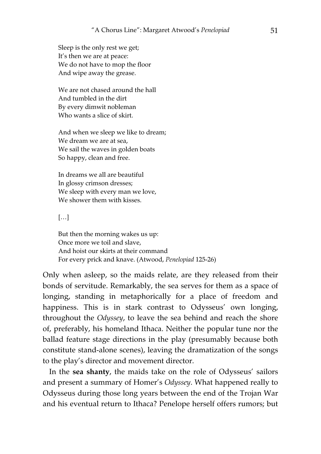Sleep is the only rest we get; It's then we are at peace: We do not have to mop the floor And wipe away the grease.

We are not chased around the hall And tumbled in the dirt By every dimwit nobleman Who wants a slice of skirt.

And when we sleep we like to dream; We dream we are at sea, We sail the waves in golden boats So happy, clean and free.

In dreams we all are beautiful In glossy crimson dresses; We sleep with every man we love, We shower them with kisses.

[…]

But then the morning wakes us up: Once more we toil and slave, And hoist our skirts at their command For every prick and knave. (Atwood, *Penelopiad* 125-26)

Only when asleep, so the maids relate, are they released from their bonds of servitude. Remarkably, the sea serves for them as a space of longing, standing in metaphorically for a place of freedom and happiness. This is in stark contrast to Odysseus' own longing, throughout the *Odyssey*, to leave the sea behind and reach the shore of, preferably, his homeland Ithaca. Neither the popular tune nor the ballad feature stage directions in the play (presumably because both constitute stand-alone scenes), leaving the dramatization of the songs to the play's director and movement director.

In the **sea shanty**, the maids take on the role of Odysseus' sailors and present a summary of Homer's *Odyssey*. What happened really to Odysseus during those long years between the end of the Trojan War and his eventual return to Ithaca? Penelope herself offers rumors; but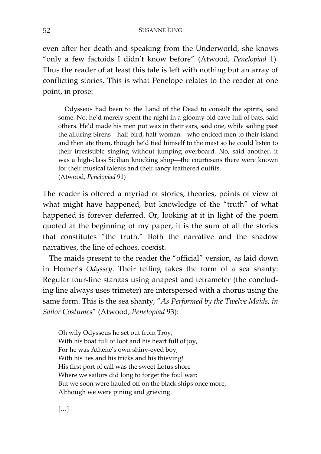even after her death and speaking from the Underworld, she knows "only a few factoids I didn't know before" (Atwood, *Penelopiad* 1). Thus the reader of at least this tale is left with nothing but an array of conflicting stories. This is what Penelope relates to the reader at one point, in prose:

Odysseus had been to the Land of the Dead to consult the spirits, said some. No, he'd merely spent the night in a gloomy old cave full of bats, said others. He'd made his men put wax in their ears, said one, while sailing past the alluring Sirens—half-bird, half-woman—who enticed men to their island and then ate them, though he'd tied himself to the mast so he could listen to their irresistible singing without jumping overboard. No, said another, it was a high-class Sicilian knocking shop—the courtesans there were known for their musical talents and their fancy feathered outfits. (Atwood, *Penelopiad* 91)

The reader is offered a myriad of stories, theories, points of view of what might have happened, but knowledge of the "truth" of what happened is forever deferred. Or, looking at it in light of the poem quoted at the beginning of my paper, it is the sum of all the stories that constitutes "the truth." Both the narrative and the shadow narratives, the line of echoes, coexist.

The maids present to the reader the "official" version, as laid down in Homer's *Odyssey*. Their telling takes the form of a sea shanty: Regular four-line stanzas using anapest and tetrameter (the concluding line always uses trimeter) are interspersed with a chorus using the same form. This is the sea shanty, "*As Performed by the Twelve Maids, in Sailor Costumes*" (Atwood, *Penelopiad* 93):

Oh wily Odysseus he set out from Troy, With his boat full of loot and his heart full of joy, For he was Athene's own shiny-eyed boy, With his lies and his tricks and his thieving! His first port of call was the sweet Lotus shore Where we sailors did long to forget the foul war; But we soon were hauled off on the black ships once more, Although we were pining and grieving.

[…]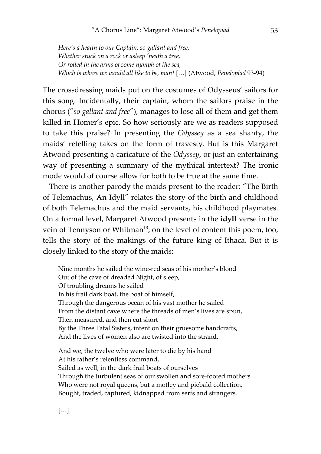*Here's a health to our Captain, so gallant and free, Whether stuck on a rock or asleep 'neath a tree, Or rolled in the arms of some nymph of the sea, Which is where we would all like to be, man!* […] (Atwood, *Penelopiad* 93-94)

The crossdressing maids put on the costumes of Odysseus' sailors for this song. Incidentally, their captain, whom the sailors praise in the chorus ("*so gallant and free*"), manages to lose all of them and get them killed in Homer's epic. So how seriously are we as readers supposed to take this praise? In presenting the *Odyssey* as a sea shanty, the maids' retelling takes on the form of travesty. But is this Margaret Atwood presenting a caricature of the *Odyssey*, or just an entertaining way of presenting a summary of the mythical intertext? The ironic mode would of course allow for both to be true at the same time.

There is another parody the maids present to the reader: "The Birth of Telemachus, An Idyll" relates the story of the birth and childhood of both Telemachus and the maid servants, his childhood playmates. On a formal level, Margaret Atwood presents in the **idyll** verse in the vein of Tennyson or Whitman<sup>13</sup>; on the level of content this poem, too, tells the story of the makings of the future king of Ithaca. But it is closely linked to the story of the maids:

Nine months he sailed the wine-red seas of his mother's blood Out of the cave of dreaded Night, of sleep, Of troubling dreams he sailed In his frail dark boat, the boat of himself, Through the dangerous ocean of his vast mother he sailed From the distant cave where the threads of men's lives are spun, Then measured, and then cut short By the Three Fatal Sisters, intent on their gruesome handcrafts, And the lives of women also are twisted into the strand.

And we, the twelve who were later to die by his hand At his father's relentless command, Sailed as well, in the dark frail boats of ourselves Through the turbulent seas of our swollen and sore-footed mothers Who were not royal queens, but a motley and piebald collection, Bought, traded, captured, kidnapped from serfs and strangers.

[…]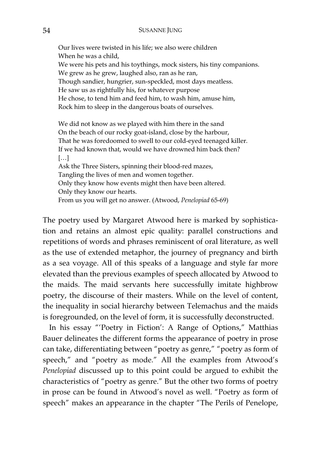Our lives were twisted in his life; we also were children When he was a child, We were his pets and his toythings, mock sisters, his tiny companions. We grew as he grew, laughed also, ran as he ran, Though sandier, hungrier, sun-speckled, most days meatless. He saw us as rightfully his, for whatever purpose He chose, to tend him and feed him, to wash him, amuse him, Rock him to sleep in the dangerous boats of ourselves. We did not know as we played with him there in the sand On the beach of our rocky goat-island, close by the harbour, That he was foredoomed to swell to our cold-eyed teenaged killer. If we had known that, would we have drowned him back then? […]

Ask the Three Sisters, spinning their blood-red mazes, Tangling the lives of men and women together. Only they know how events might then have been altered. Only they know our hearts. From us you will get no answer. (Atwood, *Penelopiad* 65-69)

The poetry used by Margaret Atwood here is marked by sophistication and retains an almost epic quality: parallel constructions and repetitions of words and phrases reminiscent of oral literature, as well as the use of extended metaphor, the journey of pregnancy and birth as a sea voyage. All of this speaks of a language and style far more elevated than the previous examples of speech allocated by Atwood to the maids. The maid servants here successfully imitate highbrow poetry, the discourse of their masters. While on the level of content, the inequality in social hierarchy between Telemachus and the maids is foregrounded, on the level of form, it is successfully deconstructed.

In his essay "'Poetry in Fiction': A Range of Options," Matthias Bauer delineates the different forms the appearance of poetry in prose can take, differentiating between "poetry as genre," "poetry as form of speech," and "poetry as mode." All the examples from Atwood's *Penelopiad* discussed up to this point could be argued to exhibit the characteristics of "poetry as genre." But the other two forms of poetry in prose can be found in Atwood's novel as well. "Poetry as form of speech" makes an appearance in the chapter "The Perils of Penelope,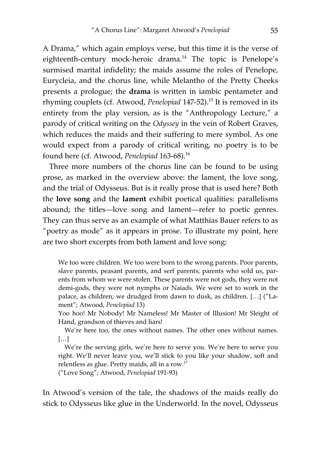A Drama," which again employs verse, but this time it is the verse of eighteenth-century mock-heroic drama.<sup>14</sup> The topic is Penelope's surmised marital infidelity; the maids assume the roles of Penelope, Eurycleia, and the chorus line, while Melantho of the Pretty Cheeks presents a prologue; the **drama** is written in iambic pentameter and rhyming couplets (cf. Atwood, *Penelopiad* 147-52).<sup>15</sup> It is removed in its entirety from the play version, as is the "Anthropology Lecture," a parody of critical writing on the *Odyssey* in the vein of Robert Graves, which reduces the maids and their suffering to mere symbol. As one would expect from a parody of critical writing, no poetry is to be found here (cf. Atwood, *Penelopiad* 163-68).16

Three more numbers of the chorus line can be found to be using prose, as marked in the overview above: the lament, the love song, and the trial of Odysseus. But is it really prose that is used here? Both the **love song** and the **lament** exhibit poetical qualities: parallelisms abound; the titles—love song and lament—refer to poetic genres. They can thus serve as an example of what Matthias Bauer refers to as "poetry as mode" as it appears in prose. To illustrate my point, here are two short excerpts from both lament and love song:

We too were children. We too were born to the wrong parents. Poor parents, slave parents, peasant parents, and serf parents; parents who sold us, parents from whom we were stolen. These parents were not gods, they were not demi-gods, they were not nymphs or Naiads. We were set to work in the palace, as children; we drudged from dawn to dusk, as children. […] ("Lament"; Atwood, *Penelopiad* 13)

Yoo hoo! Mr Nobody! Mr Nameless! Mr Master of Illusion! Mr Sleight of Hand, grandson of thieves and liars!

We're here too, the ones without names. The other ones without names. […]

We're the serving girls, we're here to serve you. We're here to serve you right. We'll never leave you, we'll stick to you like your shadow, soft and relentless as glue. Pretty maids, all in a row.<sup>17</sup>

("Love Song"; Atwood, *Penelopiad* 191-93)

In Atwood's version of the tale, the shadows of the maids really do stick to Odysseus like glue in the Underworld. In the novel, Odysseus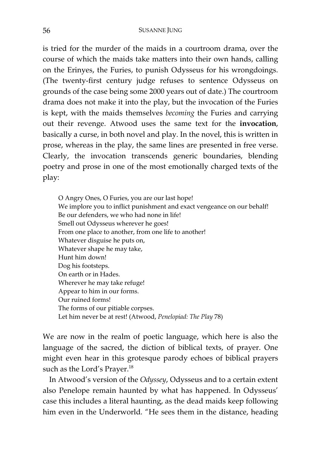is tried for the murder of the maids in a courtroom drama, over the course of which the maids take matters into their own hands, calling on the Erinyes, the Furies, to punish Odysseus for his wrongdoings. (The twenty-first century judge refuses to sentence Odysseus on grounds of the case being some 2000 years out of date.) The courtroom drama does not make it into the play, but the invocation of the Furies is kept, with the maids themselves *becoming* the Furies and carrying out their revenge. Atwood uses the same text for the **invocation**, basically a curse, in both novel and play. In the novel, this is written in prose, whereas in the play, the same lines are presented in free verse. Clearly, the invocation transcends generic boundaries, blending poetry and prose in one of the most emotionally charged texts of the play:

O Angry Ones, O Furies, you are our last hope! We implore you to inflict punishment and exact vengeance on our behalf! Be our defenders, we who had none in life! Smell out Odysseus wherever he goes! From one place to another, from one life to another! Whatever disguise he puts on, Whatever shape he may take, Hunt him down! Dog his footsteps. On earth or in Hades. Wherever he may take refuge! Appear to him in our forms. Our ruined forms! The forms of our pitiable corpses. Let him never be at rest! (Atwood, *Penelopiad: The Play* 78)

We are now in the realm of poetic language, which here is also the language of the sacred, the diction of biblical texts, of prayer. One might even hear in this grotesque parody echoes of biblical prayers such as the Lord's Prayer.<sup>18</sup>

In Atwood's version of the *Odyssey*, Odysseus and to a certain extent also Penelope remain haunted by what has happened. In Odysseus' case this includes a literal haunting, as the dead maids keep following him even in the Underworld. "He sees them in the distance, heading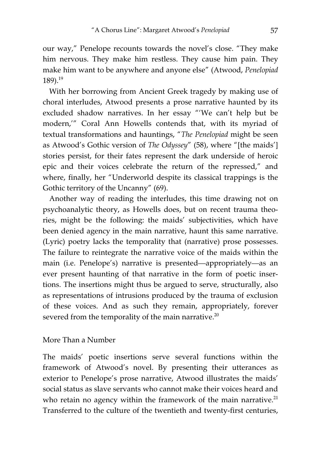our way," Penelope recounts towards the novel's close. "They make him nervous. They make him restless. They cause him pain. They make him want to be anywhere and anyone else" (Atwood, *Penelopiad* 189).19

With her borrowing from Ancient Greek tragedy by making use of choral interludes, Atwood presents a prose narrative haunted by its excluded shadow narratives. In her essay "'We can't help but be modern,'" Coral Ann Howells contends that, with its myriad of textual transformations and hauntings, "*The Penelopiad* might be seen as Atwood's Gothic version of *The Odyssey*" (58), where "[the maids'] stories persist, for their fates represent the dark underside of heroic epic and their voices celebrate the return of the repressed," and where, finally, her "Underworld despite its classical trappings is the Gothic territory of the Uncanny" (69).

Another way of reading the interludes, this time drawing not on psychoanalytic theory, as Howells does, but on recent trauma theories, might be the following: the maids' subjectivities, which have been denied agency in the main narrative, haunt this same narrative. (Lyric) poetry lacks the temporality that (narrative) prose possesses. The failure to reintegrate the narrative voice of the maids within the main (i.e. Penelope's) narrative is presented—appropriately—as an ever present haunting of that narrative in the form of poetic insertions. The insertions might thus be argued to serve, structurally, also as representations of intrusions produced by the trauma of exclusion of these voices. And as such they remain, appropriately, forever severed from the temporality of the main narrative. $20$ 

## More Than a Number

The maids' poetic insertions serve several functions within the framework of Atwood's novel. By presenting their utterances as exterior to Penelope's prose narrative, Atwood illustrates the maids' social status as slave servants who cannot make their voices heard and who retain no agency within the framework of the main narrative. $21$ Transferred to the culture of the twentieth and twenty-first centuries,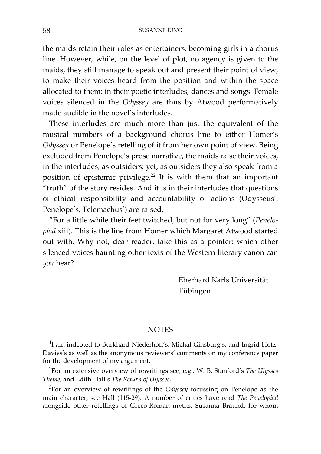the maids retain their roles as entertainers, becoming girls in a chorus line. However, while, on the level of plot, no agency is given to the maids, they still manage to speak out and present their point of view, to make their voices heard from the position and within the space allocated to them: in their poetic interludes, dances and songs. Female voices silenced in the *Odyssey* are thus by Atwood performatively made audible in the novel's interludes.

These interludes are much more than just the equivalent of the musical numbers of a background chorus line to either Homer's *Odyssey* or Penelope's retelling of it from her own point of view. Being excluded from Penelope's prose narrative, the maids raise their voices, in the interludes, as outsiders; yet, as outsiders they also speak from a position of epistemic privilege.<sup>22</sup> It is with them that an important "truth" of the story resides. And it is in their interludes that questions of ethical responsibility and accountability of actions (Odysseus', Penelope's, Telemachus') are raised.

"For a little while their feet twitched, but not for very long" (*Penelopiad* xiii). This is the line from Homer which Margaret Atwood started out with. Why not, dear reader, take this as a pointer: which other silenced voices haunting other texts of the Western literary canon can *you* hear?

> Eberhard Karls Universität Tübingen

#### **NOTES**

<sup>1</sup>I am indebted to Burkhard Niederhoff's, Michal Ginsburg's, and Ingrid Hotz-Davies's as well as the anonymous reviewers' comments on my conference paper for the development of my argument.

2 For an extensive overview of rewritings see, e.g., W. B. Stanford's *The Ulysses Theme*, and Edith Hall's *The Return of Ulysses*.

3 For an overview of rewritings of the *Odyssey* focussing on Penelope as the main character, see Hall (115-29). A number of critics have read *The Penelopiad* alongside other retellings of Greco-Roman myths. Susanna Braund, for whom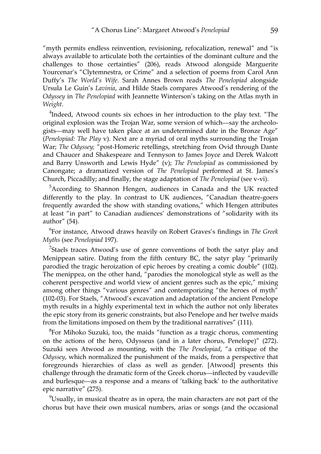"myth permits endless reinvention, revisioning, refocalization, renewal" and "is always available to articulate both the certainties of the dominant culture and the challenges to those certainties" (206), reads Atwood alongside Marguerite Yourcenar's "Clytemnestra, or Crime" and a selection of poems from Carol Ann Duffy's *The World's Wife*. Sarah Annes Brown reads *The Penelopiad* alongside Ursula Le Guin's *Lavinia*, and Hilde Staels compares Atwood's rendering of the *Odyssey* in *The Penelopiad* with Jeannette Winterson's taking on the Atlas myth in *Weight*.

 $^{4}$ Indeed, Atwood counts six echoes in her introduction to the play text. "The original explosion was the Trojan War, some version of which—say the archeologists—may well have taken place at an undetermined date in the Bronze Age" (*Penelopiad: The Play* v). Next are a myriad of oral myths surrounding the Trojan War; *The Odyssey;* "post-Homeric retellings, stretching from Ovid through Dante and Chaucer and Shakespeare and Tennyson to James Joyce and Derek Walcott and Barry Unsworth and Lewis Hyde" (v); *The Penelopiad* as commissioned by Canongate; a dramatized version of *The Penelopiad* performed at St. James's Church, Piccadilly; and finally, the stage adaptation of *The Penelopiad* (see v-vi).

<sup>5</sup>According to Shannon Hengen, audiences in Canada and the UK reacted differently to the play. In contrast to UK audiences, "Canadian theatre-goers frequently awarded the show with standing ovations," which Hengen attributes at least "in part" to Canadian audiences' demonstrations of "solidarity with its author" (54).

6 For instance, Atwood draws heavily on Robert Graves's findings in *The Greek Myths* (see *Penelopiad* 197).

 $7$ Staels traces Atwood's use of genre conventions of both the satyr play and Menippean satire. Dating from the fifth century BC, the satyr play "primarily parodied the tragic heroization of epic heroes by creating a comic double" (102). The menippea, on the other hand, "parodies the monological style as well as the coherent perspective and world view of ancient genres such as the epic," mixing among other things "various genres" and contemporizing "the heroes of myth" (102-03). For Staels, "Atwood's excavation and adaptation of the ancient Penelope myth results in a highly experimental text in which the author not only liberates the epic story from its generic constraints, but also Penelope and her twelve maids from the limitations imposed on them by the traditional narratives" (111).

 ${}^{8}$ For Mihoko Suzuki, too, the maids "function as a tragic chorus, commenting on the actions of the hero, Odysseus (and in a later chorus, Penelope)" (272). Suzuki sees Atwood as mounting, with the *The Penelopiad*, "a critique of the *Odyssey*, which normalized the punishment of the maids, from a perspective that foregrounds hierarchies of class as well as gender. [Atwood] presents this challenge through the dramatic form of the Greek chorus—inflected by vaudeville and burlesque—as a response and a means of 'talking back' to the authoritative epic narrative" (275).

 $9$ Usually, in musical theatre as in opera, the main characters are not part of the chorus but have their own musical numbers, arias or songs (and the occasional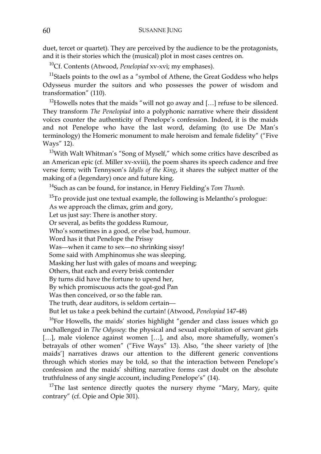duet, tercet or quartet). They are perceived by the audience to be the protagonists, and it is their stories which the (musical) plot in most cases centres on.

10Cf. Contents (Atwood, *Penelopiad* xv-xvi; my emphases).

<sup>11</sup>Staels points to the owl as a "symbol of Athene, the Great Goddess who helps Odysseus murder the suitors and who possesses the power of wisdom and transformation" (110).

<sup>12</sup>Howells notes that the maids "will not go away and [...] refuse to be silenced. They transform *The Penelopiad* into a polyphonic narrative where their dissident voices counter the authenticity of Penelope's confession. Indeed, it is the maids and not Penelope who have the last word, defaming (to use De Man's terminology) the Homeric monument to male heroism and female fidelity" ("Five Ways" 12).

 $13$ With Walt Whitman's "Song of Myself," which some critics have described as an American epic (cf. Miller xv-xviii), the poem shares its speech cadence and free verse form; with Tennyson's *Idylls of the King*, it shares the subject matter of the making of a (legendary) once and future king.

14Such as can be found, for instance, in Henry Fielding's *Tom Thumb*.

 $15$ To provide just one textual example, the following is Melantho's prologue:

As we approach the climax, grim and gory,

Let us just say: There is another story.

Or several, as befits the goddess Rumour,

Who's sometimes in a good, or else bad, humour.

Word has it that Penelope the Prissy

Was—when it came to sex—no shrinking sissy!

Some said with Amphinomus she was sleeping.

Masking her lust with gales of moans and weeping;

Others, that each and every brisk contender

By turns did have the fortune to upend her,

By which promiscuous acts the goat-god Pan

Was then conceived, or so the fable ran.

The truth, dear auditors, is seldom certain—

But let us take a peek behind the curtain! (Atwood, *Penelopiad* 147-48)

<sup>16</sup>For Howells, the maids' stories highlight "gender and class issues which go unchallenged in *The Odyssey*: the physical and sexual exploitation of servant girls [...], male violence against women [...], and also, more shamefully, women's betrayals of other women" ("Five Ways" 13). Also, "the sheer variety of [the maids'] narratives draws our attention to the different generic conventions through which stories may be told, so that the interaction between Penelope's confession and the maids' shifting narrative forms cast doubt on the absolute truthfulness of any single account, including Penelope's" (14).

 $17$ The last sentence directly quotes the nursery rhyme "Mary, Mary, quite contrary" (cf. Opie and Opie 301).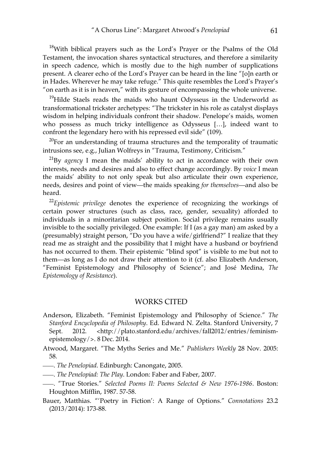<sup>18</sup>With biblical prayers such as the Lord's Prayer or the Psalms of the Old Testament, the invocation shares syntactical structures, and therefore a similarity in speech cadence, which is mostly due to the high number of supplications present. A clearer echo of the Lord's Prayer can be heard in the line "[o]n earth or in Hades. Wherever he may take refuge." This quite resembles the Lord's Prayer's "on earth as it is in heaven," with its gesture of encompassing the whole universe.

<sup>19</sup>Hilde Staels reads the maids who haunt Odysseus in the Underworld as transformational trickster archetypes: "The trickster in his role as catalyst displays wisdom in helping individuals confront their shadow. Penelope's maids, women who possess as much tricky intelligence as Odysseus […], indeed want to confront the legendary hero with his repressed evil side" (109).

 $20$ For an understanding of trauma structures and the temporality of traumatic intrusions see, e.g., Julian Wolfreys in "Trauma, Testimony, Criticism."

21By *agency* I mean the maids' ability to act in accordance with their own interests, needs and desires and also to effect change accordingly. By *voice* I mean the maids' ability to not only speak but also articulate their own experience, needs, desires and point of view—the maids speaking *for themselves*—and also be heard.

<sup>22</sup>*Epistemic privilege* denotes the experience of recognizing the workings of certain power structures (such as class, race, gender, sexuality) afforded to individuals in a minoritarian subject position. Social privilege remains usually invisible to the socially privileged. One example: If I (as a gay man) am asked by a (presumably) straight person, "Do you have a wife/girlfriend?" I realize that they read me as straight and the possibility that I might have a husband or boyfriend has not occurred to them. Their epistemic "blind spot" is visible to me but not to them—as long as I do not draw their attention to it (cf. also Elizabeth Anderson, "Feminist Epistemology and Philosophy of Science"; and José Medina, *The Epistemology of Resistance*).

#### WORKS CITED

- Anderson, Elizabeth. "Feminist Epistemology and Philosophy of Science." *The Stanford Encyclopedia of Philosophy*. Ed. Edward N. Zelta. Stanford University, 7 Sept. 2012. <http://plato.stanford.edu/archives/fall2012/entries/feminismepistemology/>. 8 Dec. 2014.
- Atwood, Margaret. "The Myths Series and Me." *Publishers Weekly* 28 Nov. 2005: 58.
- ——. *The Penelopiad*. Edinburgh: Canongate, 2005.
- ——. *The Penelopiad: The Play*. London: Faber and Faber, 2007.
- ——. "True Stories." *Selected Poems II: Poems Selected & New 1976-1986*. Boston: Houghton Mifflin, 1987. 57-58.
- Bauer, Matthias. "'Poetry in Fiction': A Range of Options." *Connotations* 23.2 (2013/2014): 173-88.